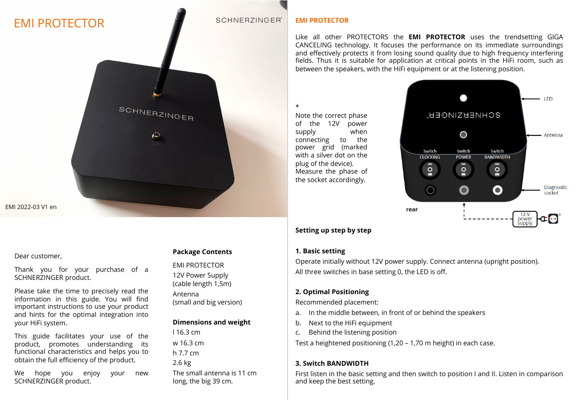# EMI PROTECTOR

#### **SCHNERZINGER®**

#### **EMI PROTECTOR**

Like all other PROTECTORS the **EMI PROTECTOR** uses the trendsetting GIGA CANCELING technology. It focuses the performance on its immediate surroundings and effectively protects it from losing sound quality due to high frequency interfering fields. Thus it is suitable for application at critical points in the HiFi room, such as between the speakers, with the HiFi equipment or at the listening position.

#### \*

Note the correct phase of the 12V power supply when connecting to the power grid (marked with a silver dot on the plug of the device). Measure the phase of the socket accordingly.



## **Setting up step by step**

#### **1. Basic setting**

Operate initially without 12V power supply. Connect antenna (upright position). All three switches in base setting 0, the LED is off.

#### **2. Optimal Positioning**

Recommended placement:

- a. In the middle between, in front of or behind the speakers
- b. Next to the HiFi equipment
- c. Behind the listening position

Test a heightened positioning (1,20 – 1,70 m height) in each case.

## **3. Switch BANDWIDTH**

First listen in the basic setting and then switch to position I and II. Listen in comparison and keep the best setting.

#### Dear customer,

EMI 2022-03 V1 en

Thank you for your purchase of a SCHNERZINGER product.

Please take the time to precisely read the information in this guide. You will find important instructions to use your product and hints for the optimal integration into your HiFi system.

This guide facilitates your use of the product, promotes understanding its functional characteristics and helps you to obtain the full efficiency of the product.

We hope you enjoy your new SCHNERZINGER product.

## **Package Contents**

EMI PROTECTOR

SCHNERZINGER

 $\circledcirc$ 

12V Power Supply (cable length 1,5m) Antenna

(small and big version)

## **Dimensions and weight**

l 16.3 cm w 16.3 cm h 7.7 cm 2.6 kg The small antenna is 11 cm long, the big 39 cm.